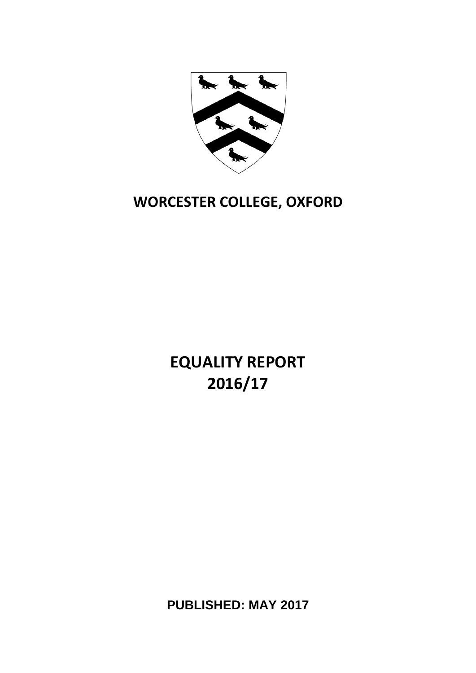

# **WORCESTER COLLEGE, OXFORD**

**EQUALITY REPORT 2016/17**

**PUBLISHED: MAY 2017**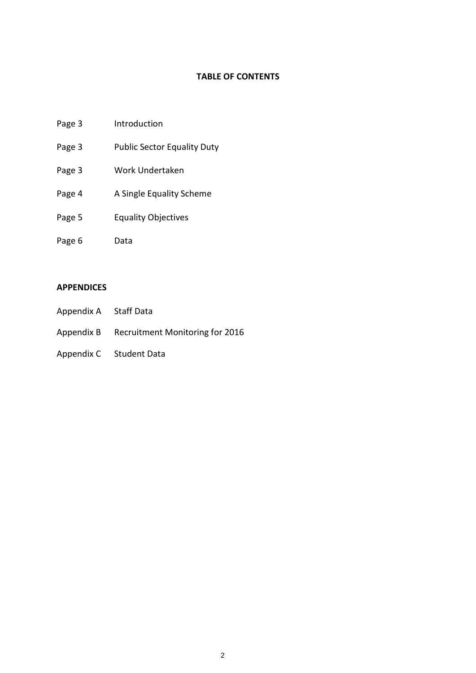#### **TABLE OF CONTENTS**

- Page 3 Introduction
- Page 3 Public Sector Equality Duty
- Page 3 Work Undertaken
- Page 4 A Single Equality Scheme
- Page 5 Equality Objectives
- Page 6 Data

#### **APPENDICES**

- Appendix A Staff Data
- Appendix B Recruitment Monitoring for 2016
- Appendix C Student Data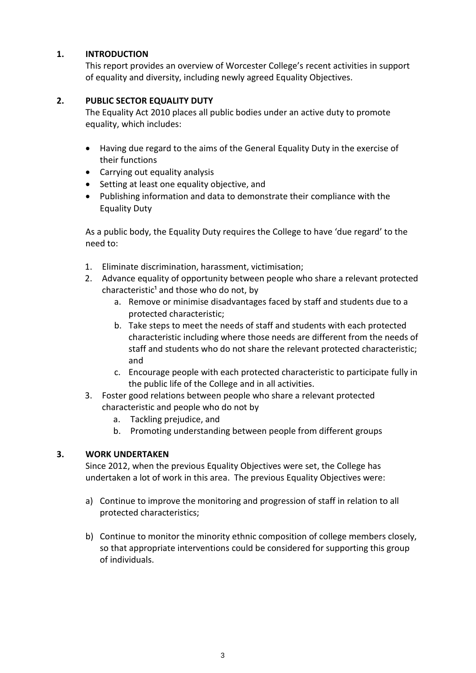#### **1. INTRODUCTION**

This report provides an overview of Worcester College's recent activities in support of equality and diversity, including newly agreed Equality Objectives.

#### **2. PUBLIC SECTOR EQUALITY DUTY**

The Equality Act 2010 places all public bodies under an active duty to promote equality, which includes:

- Having due regard to the aims of the General Equality Duty in the exercise of their functions
- Carrying out equality analysis
- Setting at least one equality objective, and
- Publishing information and data to demonstrate their compliance with the Equality Duty

As a public body, the Equality Duty requires the College to have 'due regard' to the need to:

- 1. Eliminate discrimination, harassment, victimisation;
- 2. Advance equality of opportunity between people who share a relevant protected characteristic<sup>1</sup> and those who do not, by
	- a. Remove or minimise disadvantages faced by staff and students due to a protected characteristic;
	- b. Take steps to meet the needs of staff and students with each protected characteristic including where those needs are different from the needs of staff and students who do not share the relevant protected characteristic; and
	- c. Encourage people with each protected characteristic to participate fully in the public life of the College and in all activities.
- 3. Foster good relations between people who share a relevant protected characteristic and people who do not by
	- a. Tackling prejudice, and
	- b. Promoting understanding between people from different groups

#### **3. WORK UNDERTAKEN**

Since 2012, when the previous Equality Objectives were set, the College has undertaken a lot of work in this area. The previous Equality Objectives were:

- a) Continue to improve the monitoring and progression of staff in relation to all protected characteristics;
- b) Continue to monitor the minority ethnic composition of college members closely, so that appropriate interventions could be considered for supporting this group of individuals.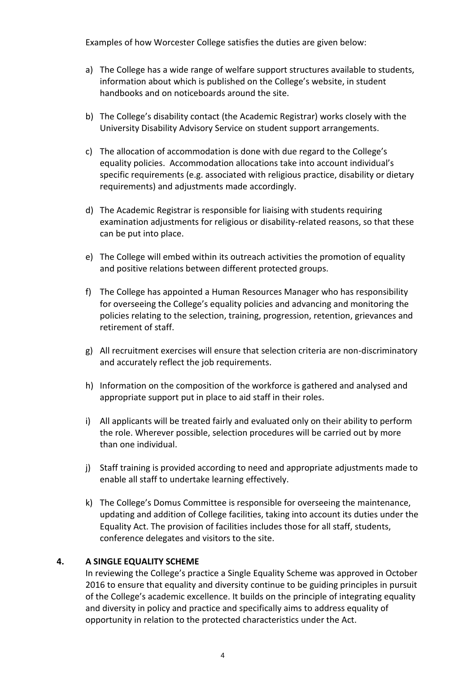Examples of how Worcester College satisfies the duties are given below:

- a) The College has a wide range of welfare support structures available to students, information about which is published on the College's website, in student handbooks and on noticeboards around the site.
- b) The College's disability contact (the Academic Registrar) works closely with the University Disability Advisory Service on student support arrangements.
- c) The allocation of accommodation is done with due regard to the College's equality policies. Accommodation allocations take into account individual's specific requirements (e.g. associated with religious practice, disability or dietary requirements) and adjustments made accordingly.
- d) The Academic Registrar is responsible for liaising with students requiring examination adjustments for religious or disability-related reasons, so that these can be put into place.
- e) The College will embed within its outreach activities the promotion of equality and positive relations between different protected groups.
- f) The College has appointed a Human Resources Manager who has responsibility for overseeing the College's equality policies and advancing and monitoring the policies relating to the selection, training, progression, retention, grievances and retirement of staff.
- g) All recruitment exercises will ensure that selection criteria are non-discriminatory and accurately reflect the job requirements.
- h) Information on the composition of the workforce is gathered and analysed and appropriate support put in place to aid staff in their roles.
- i) All applicants will be treated fairly and evaluated only on their ability to perform the role. Wherever possible, selection procedures will be carried out by more than one individual.
- j) Staff training is provided according to need and appropriate adjustments made to enable all staff to undertake learning effectively.
- k) The College's Domus Committee is responsible for overseeing the maintenance, updating and addition of College facilities, taking into account its duties under the Equality Act. The provision of facilities includes those for all staff, students, conference delegates and visitors to the site.

#### **4. A SINGLE EQUALITY SCHEME**

In reviewing the College's practice a Single Equality Scheme was approved in October 2016 to ensure that equality and diversity continue to be guiding principles in pursuit of the College's academic excellence. It builds on the principle of integrating equality and diversity in policy and practice and specifically aims to address equality of opportunity in relation to the protected characteristics under the Act.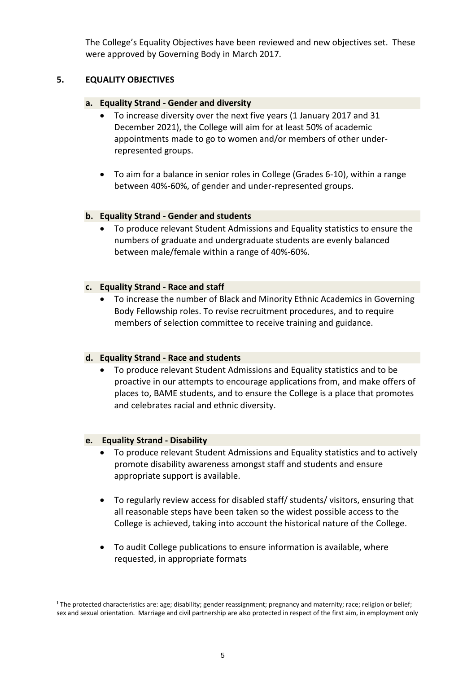The College's Equality Objectives have been reviewed and new objectives set. These were approved by Governing Body in March 2017.

#### **5. EQUALITY OBJECTIVES**

#### **a. Equality Strand - Gender and diversity**

- To increase diversity over the next five years (1 January 2017 and 31 December 2021), the College will aim for at least 50% of academic appointments made to go to women and/or members of other underrepresented groups.
- To aim for a balance in senior roles in College (Grades 6-10), within a range between 40%-60%, of gender and under-represented groups.

#### **b. Equality Strand - Gender and students**

 To produce relevant Student Admissions and Equality statistics to ensure the numbers of graduate and undergraduate students are evenly balanced between male/female within a range of 40%-60%.

#### **c. Equality Strand - Race and staff**

 To increase the number of Black and Minority Ethnic Academics in Governing Body Fellowship roles. To revise recruitment procedures, and to require members of selection committee to receive training and guidance.

#### **d. Equality Strand - Race and students**

 To produce relevant Student Admissions and Equality statistics and to be proactive in our attempts to encourage applications from, and make offers of places to, BAME students, and to ensure the College is a place that promotes and celebrates racial and ethnic diversity.

#### **e. Equality Strand - Disability**

- To produce relevant Student Admissions and Equality statistics and to actively promote disability awareness amongst staff and students and ensure appropriate support is available.
- To regularly review access for disabled staff/ students/ visitors, ensuring that all reasonable steps have been taken so the widest possible access to the College is achieved, taking into account the historical nature of the College.
- To audit College publications to ensure information is available, where requested, in appropriate formats

<sup>&</sup>lt;sup>1</sup> The protected characteristics are: age; disability; gender reassignment; pregnancy and maternity; race; religion or belief; sex and sexual orientation. Marriage and civil partnership are also protected in respect of the first aim, in employment only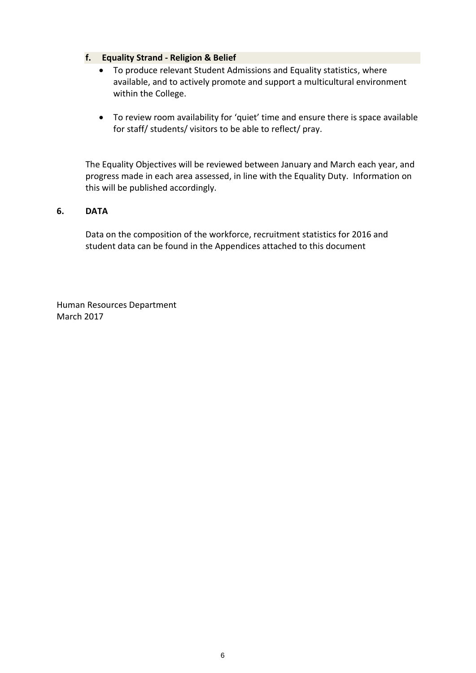#### **f. Equality Strand - Religion & Belief**

- To produce relevant Student Admissions and Equality statistics, where available, and to actively promote and support a multicultural environment within the College.
- To review room availability for 'quiet' time and ensure there is space available for staff/ students/ visitors to be able to reflect/ pray.

The Equality Objectives will be reviewed between January and March each year, and progress made in each area assessed, in line with the Equality Duty. Information on this will be published accordingly.

#### **6. DATA**

Data on the composition of the workforce, recruitment statistics for 2016 and student data can be found in the Appendices attached to this document

Human Resources Department March 2017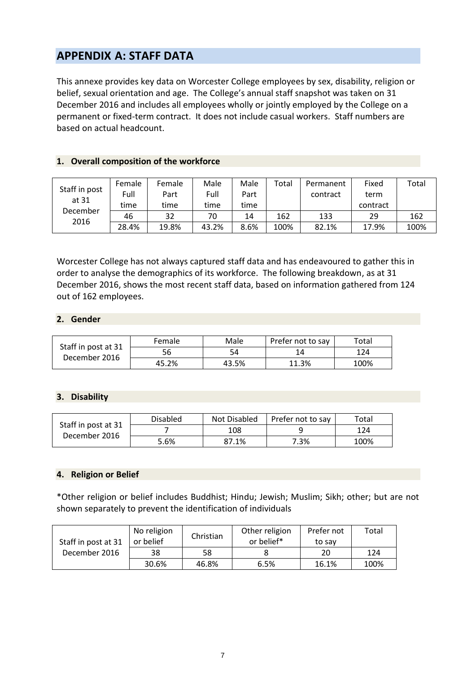## **APPENDIX A: STAFF DATA**

This annexe provides key data on Worcester College employees by sex, disability, religion or belief, sexual orientation and age. The College's annual staff snapshot was taken on 31 December 2016 and includes all employees wholly or jointly employed by the College on a permanent or fixed-term contract. It does not include casual workers. Staff numbers are based on actual headcount.

|                  |        | Female | Male  | Male | Total |           | Fixed    | Total |
|------------------|--------|--------|-------|------|-------|-----------|----------|-------|
| Staff in post    | Female |        |       |      |       | Permanent |          |       |
| at 31            | Full   | Part   | Full  | Part |       | contract  | term     |       |
| December<br>2016 | time   | time   | time  | time |       |           | contract |       |
|                  | 46     | 32     | 70    | 14   | 162   | 133       | 29       | 162   |
|                  | 28.4%  | 19.8%  | 43.2% | 8.6% | 100%  | 82.1%     | 17.9%    | 100%  |

#### **1. Overall composition of the workforce**

Worcester College has not always captured staff data and has endeavoured to gather this in order to analyse the demographics of its workforce. The following breakdown, as at 31 December 2016, shows the most recent staff data, based on information gathered from 124 out of 162 employees.

#### **2. Gender**

|                                      | Female | Male  | Prefer not to say | Total |
|--------------------------------------|--------|-------|-------------------|-------|
| Staff in post at 31<br>December 2016 | 56     | 54    | 14                | 124   |
|                                      | 45.2%  | 43.5% | 11.3%             | 100%  |

#### **3. Disability**

| Staff in post at 31 | <b>Disabled</b> | Not Disabled | Prefer not to say | Total |
|---------------------|-----------------|--------------|-------------------|-------|
| December 2016       |                 | 108          |                   | 124   |
|                     | 5.6%            | 87.1%        | 7.3%              | 100%  |

#### **4. Religion or Belief**

\*Other religion or belief includes Buddhist; Hindu; Jewish; Muslim; Sikh; other; but are not shown separately to prevent the identification of individuals

| Staff in post at 31 | No religion<br>or belief | Christian | Other religion<br>or belief* | Prefer not<br>to sav | Total |
|---------------------|--------------------------|-----------|------------------------------|----------------------|-------|
| December 2016       | 38                       | 58        |                              | 20                   | 124   |
|                     | 30.6%                    | 46.8%     | 6.5%                         | 16.1%                | 100%  |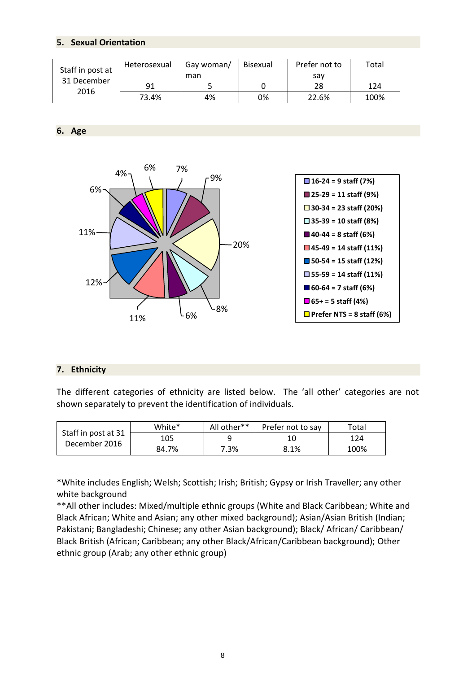#### **5. Sexual Orientation**

| Staff in post at<br>31 December<br>2016 | Heterosexual | Gay woman/ | Bisexual | Prefer not to | Total |
|-----------------------------------------|--------------|------------|----------|---------------|-------|
|                                         |              | man        |          | sav           |       |
|                                         | 91           |            |          | 28            | 124   |
|                                         | 73.4%        | 4%         | 0%       | 22.6%         | 100%  |

**6. Age**



#### **7. Ethnicity**

The different categories of ethnicity are listed below. The 'all other' categories are not shown separately to prevent the identification of individuals.

| Staff in post at 31 | White* | All other** | Prefer not to say | Total |
|---------------------|--------|-------------|-------------------|-------|
| December 2016       | 105    |             | 10                | 124   |
|                     | 84.7%  | 7.3%        | 8.1%              | 100%  |

\*White includes English; Welsh; Scottish; Irish; British; Gypsy or Irish Traveller; any other white background

\*\*All other includes: Mixed/multiple ethnic groups (White and Black Caribbean; White and Black African; White and Asian; any other mixed background); Asian/Asian British (Indian; Pakistani; Bangladeshi; Chinese; any other Asian background); Black/ African/ Caribbean/ Black British (African; Caribbean; any other Black/African/Caribbean background); Other ethnic group (Arab; any other ethnic group)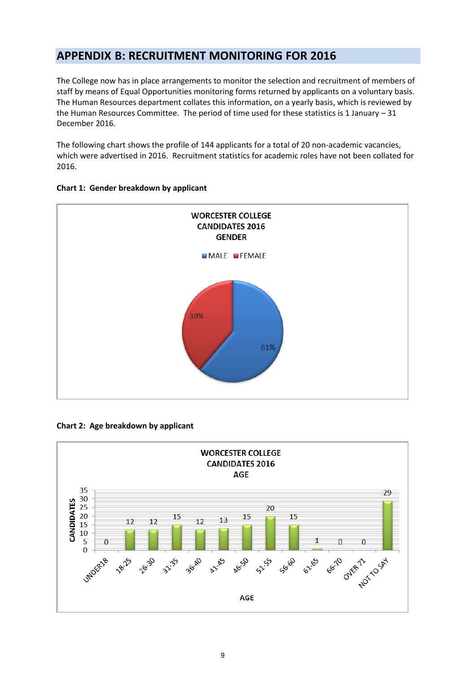## **APPENDIX B: RECRUITMENT MONITORING FOR 2016**

The College now has in place arrangements to monitor the selection and recruitment of members of staff by means of Equal Opportunities monitoring forms returned by applicants on a voluntary basis. The Human Resources department collates this information, on a yearly basis, which is reviewed by the Human Resources Committee. The period of time used for these statistics is 1 January – 31 December 2016.

The following chart shows the profile of 144 applicants for a total of 20 non-academic vacancies, which were advertised in 2016. Recruitment statistics for academic roles have not been collated for 2016.



#### **Chart 1: Gender breakdown by applicant**



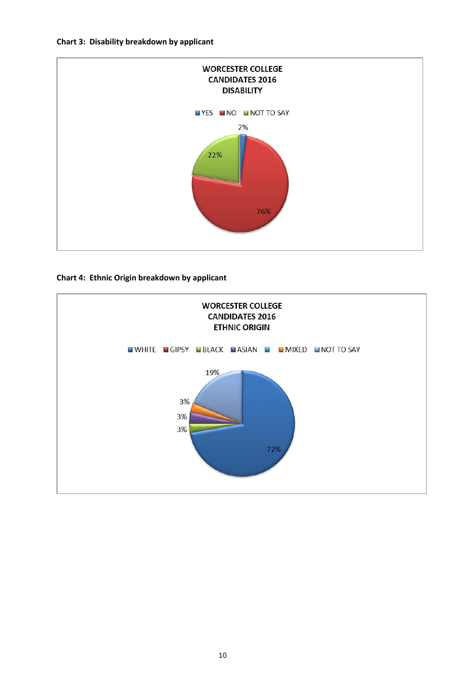#### **Chart 3: Disability breakdown by applicant**



#### **Chart 4: Ethnic Origin breakdown by applicant**

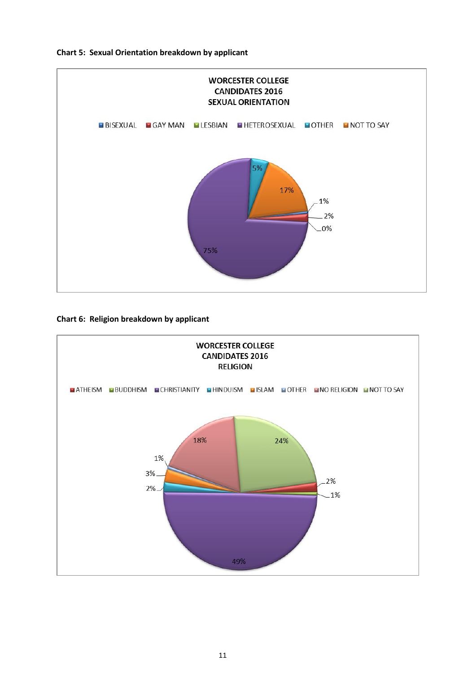

**Chart 6: Religion breakdown by applicant**